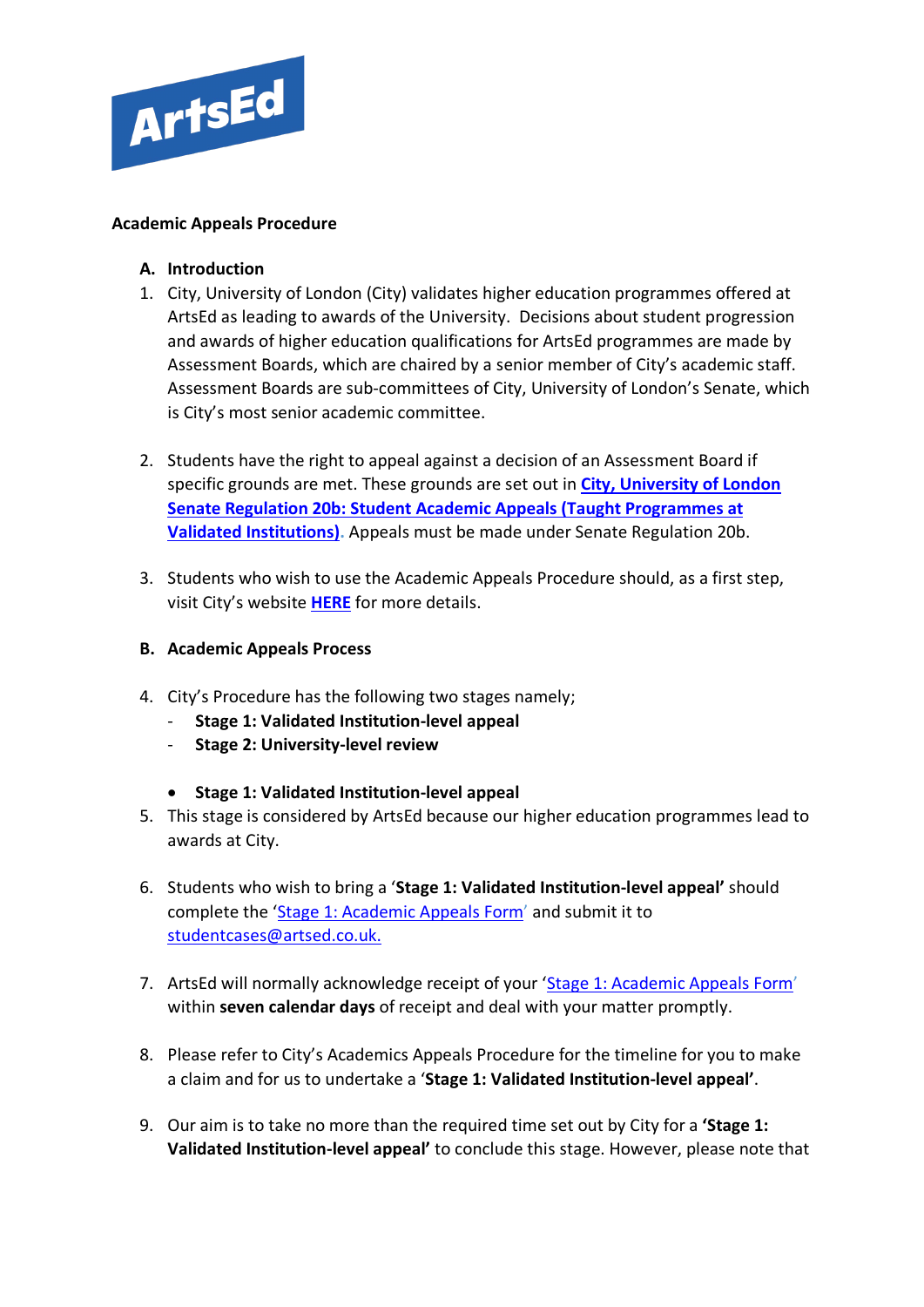

## **Academic Appeals Procedure**

- **A. Introduction**
- 1. City, University of London (City) validates higher education programmes offered at ArtsEd as leading to awards of the University. Decisions about student progression and awards of higher education qualifications for ArtsEd programmes are made by Assessment Boards, which are chaired by a senior member of City's academic staff. Assessment Boards are sub-committees of City, University of London's Senate, which is City's most senior academic committee.
- 2. Students have the right to appeal against a decision of an Assessment Board if specific grounds are met. These grounds are set out in **[City, University of London](https://www.city.ac.uk/__data/assets/pdf_file/0005/566663/Senate_Regulation_20b_Student_Appeals_Procedures_Validated_Programmes-20201007.pdf)  [Senate Regulation 20b: Student Academic Appeals \(Taught Programmes at](https://www.city.ac.uk/__data/assets/pdf_file/0005/566663/Senate_Regulation_20b_Student_Appeals_Procedures_Validated_Programmes-20201007.pdf)  [Validated Institutions\).](https://www.city.ac.uk/__data/assets/pdf_file/0005/566663/Senate_Regulation_20b_Student_Appeals_Procedures_Validated_Programmes-20201007.pdf)** Appeals must be made under Senate Regulation 20b.
- 3. Students who wish to use the Academic Appeals Procedure should, as a first step, visit City's website **[HERE](https://www.city.ac.uk/__data/assets/pdf_file/0004/69025/Student-Academic-Appeals-Policy.pdf)** for more details.
- **B. Academic Appeals Process**
- 4. City's Procedure has the following two stages namely;
	- **Stage 1: Validated Institution-level appeal**
	- **Stage 2: University-level review**
	- **Stage 1: Validated Institution-level appeal**
- 5. This stage is considered by ArtsEd because our higher education programmes lead to awards at City.
- 6. Students who wish to bring a '**Stage 1: Validated Institution-level appeal'** should complete the ['Stage 1: Academic Appeals Form'](https://artsed.qualtrics.com/jfe/form/SV_7WBubDQW2YdGKNg) and submit it to [studentcases@artsed.co.uk.](mailto:studentcases@artsed.co.uk)
- 7. ArtsEd will normally acknowledge receipt of your ['Stage 1: Academic Appeals Form'](https://artsed.qualtrics.com/jfe/form/SV_7WBubDQW2YdGKNg) within **seven calendar days** of receipt and deal with your matter promptly.
- 8. Please refer to City's Academics Appeals Procedure for the timeline for you to make a claim and for us to undertake a '**Stage 1: Validated Institution-level appeal'**.
- 9. Our aim is to take no more than the required time set out by City for a **'Stage 1: Validated Institution-level appeal'** to conclude this stage. However, please note that